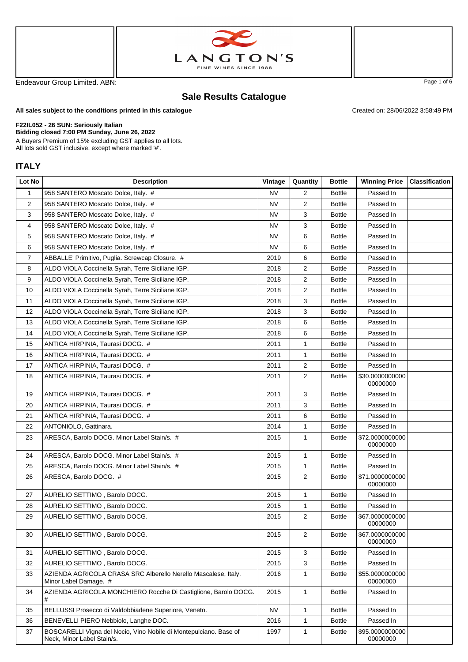



Endeavour Group Limited. ABN: Page 1 of 6

Created on: 28/06/2022 3:58:49 PM

## **Sale Results Catalogue**

**All sales subject to the conditions printed in this catalogue**

## **F22IL052 - 26 SUN: Seriously Italian**

**Bidding closed 7:00 PM Sunday, June 26, 2022**

A Buyers Premium of 15% excluding GST applies to all lots. All lots sold GST inclusive, except where marked '#'.

## **ITALY**

| Lot No | <b>Description</b>                                                                              | Vintage   | Quantity       | <b>Bottle</b> | <b>Winning Price</b>        | <b>Classification</b> |
|--------|-------------------------------------------------------------------------------------------------|-----------|----------------|---------------|-----------------------------|-----------------------|
| 1      | 958 SANTERO Moscato Dolce, Italy. #                                                             | <b>NV</b> | 2              | <b>Bottle</b> | Passed In                   |                       |
| 2      | 958 SANTERO Moscato Dolce, Italy. #                                                             | <b>NV</b> | 2              | <b>Bottle</b> | Passed In                   |                       |
| 3      | 958 SANTERO Moscato Dolce, Italy. #                                                             | <b>NV</b> | 3              | <b>Bottle</b> | Passed In                   |                       |
| 4      | 958 SANTERO Moscato Dolce, Italy. #                                                             | NV        | 3              | <b>Bottle</b> | Passed In                   |                       |
| 5      | 958 SANTERO Moscato Dolce, Italy. #                                                             | <b>NV</b> | 6              | <b>Bottle</b> | Passed In                   |                       |
| 6      | 958 SANTERO Moscato Dolce, Italy. #                                                             | <b>NV</b> | 6              | <b>Bottle</b> | Passed In                   |                       |
| 7      | ABBALLE' Primitivo, Puglia. Screwcap Closure. #                                                 | 2019      | 6              | <b>Bottle</b> | Passed In                   |                       |
| 8      | ALDO VIOLA Coccinella Syrah, Terre Siciliane IGP.                                               | 2018      | 2              | <b>Bottle</b> | Passed In                   |                       |
| 9      | ALDO VIOLA Coccinella Syrah, Terre Siciliane IGP.                                               | 2018      | 2              | <b>Bottle</b> | Passed In                   |                       |
| 10     | ALDO VIOLA Coccinella Syrah, Terre Siciliane IGP.                                               | 2018      | 2              | <b>Bottle</b> | Passed In                   |                       |
| 11     | ALDO VIOLA Coccinella Syrah, Terre Siciliane IGP.                                               | 2018      | 3              | <b>Bottle</b> | Passed In                   |                       |
| 12     | ALDO VIOLA Coccinella Syrah, Terre Siciliane IGP.                                               | 2018      | 3              | <b>Bottle</b> | Passed In                   |                       |
| 13     | ALDO VIOLA Coccinella Syrah, Terre Siciliane IGP.                                               | 2018      | 6              | <b>Bottle</b> | Passed In                   |                       |
| 14     | ALDO VIOLA Coccinella Syrah, Terre Siciliane IGP.                                               | 2018      | 6              | <b>Bottle</b> | Passed In                   |                       |
| 15     | ANTICA HIRPINIA, Taurasi DOCG. #                                                                | 2011      | 1              | <b>Bottle</b> | Passed In                   |                       |
| 16     | ANTICA HIRPINIA, Taurasi DOCG. #                                                                | 2011      | 1              | <b>Bottle</b> | Passed In                   |                       |
| 17     | ANTICA HIRPINIA, Taurasi DOCG. #                                                                | 2011      | 2              | <b>Bottle</b> | Passed In                   |                       |
| 18     | ANTICA HIRPINIA, Taurasi DOCG. #                                                                | 2011      | 2              | <b>Bottle</b> | \$30.0000000000<br>00000000 |                       |
| 19     | ANTICA HIRPINIA, Taurasi DOCG. #                                                                | 2011      | 3              | <b>Bottle</b> | Passed In                   |                       |
| 20     | ANTICA HIRPINIA, Taurasi DOCG. #                                                                | 2011      | 3              | <b>Bottle</b> | Passed In                   |                       |
| 21     | ANTICA HIRPINIA, Taurasi DOCG. #                                                                | 2011      | 6              | <b>Bottle</b> | Passed In                   |                       |
| 22     | ANTONIOLO, Gattinara.                                                                           | 2014      | 1              | <b>Bottle</b> | Passed In                   |                       |
| 23     | ARESCA, Barolo DOCG. Minor Label Stain/s. #                                                     | 2015      | 1              | <b>Bottle</b> | \$72.0000000000<br>00000000 |                       |
| 24     | ARESCA, Barolo DOCG. Minor Label Stain/s. #                                                     | 2015      | 1              | <b>Bottle</b> | Passed In                   |                       |
| 25     | ARESCA, Barolo DOCG. Minor Label Stain/s. #                                                     | 2015      | 1              | <b>Bottle</b> | Passed In                   |                       |
| 26     | ARESCA, Barolo DOCG. #                                                                          | 2015      | $\overline{2}$ | <b>Bottle</b> | \$71.0000000000<br>00000000 |                       |
| 27     | AURELIO SETTIMO, Barolo DOCG.                                                                   | 2015      | 1              | <b>Bottle</b> | Passed In                   |                       |
| 28     | AURELIO SETTIMO, Barolo DOCG.                                                                   | 2015      | 1              | <b>Bottle</b> | Passed In                   |                       |
| 29     | AURELIO SETTIMO, Barolo DOCG.                                                                   | 2015      | $\mathbf{2}$   | <b>Bottle</b> | \$67.0000000000<br>00000000 |                       |
| 30     | AURELIO SETTIMO, Barolo DOCG.                                                                   | 2015      | 2              | <b>Bottle</b> | \$67.0000000000<br>00000000 |                       |
| 31     | AURELIO SETTIMO, Barolo DOCG.                                                                   | 2015      | 3              | <b>Bottle</b> | Passed In                   |                       |
| 32     | AURELIO SETTIMO, Barolo DOCG.                                                                   | 2015      | 3              | <b>Bottle</b> | Passed In                   |                       |
| 33     | AZIENDA AGRICOLA CRASA SRC Alberello Nerello Mascalese, Italy.<br>Minor Label Damage. #         | 2016      | 1              | <b>Bottle</b> | \$55.0000000000<br>00000000 |                       |
| 34     | AZIENDA AGRICOLA MONCHIERO Rocche Di Castiglione, Barolo DOCG.<br>#                             | 2015      | 1              | <b>Bottle</b> | Passed In                   |                       |
| 35     | BELLUSSI Prosecco di Valdobbiadene Superiore, Veneto.                                           | <b>NV</b> | 1              | <b>Bottle</b> | Passed In                   |                       |
| 36     | BENEVELLI PIERO Nebbiolo, Langhe DOC.                                                           | 2016      | 1              | <b>Bottle</b> | Passed In                   |                       |
| 37     | BOSCARELLI Vigna del Nocio, Vino Nobile di Montepulciano. Base of<br>Neck, Minor Label Stain/s. | 1997      | 1              | <b>Bottle</b> | \$95.0000000000<br>00000000 |                       |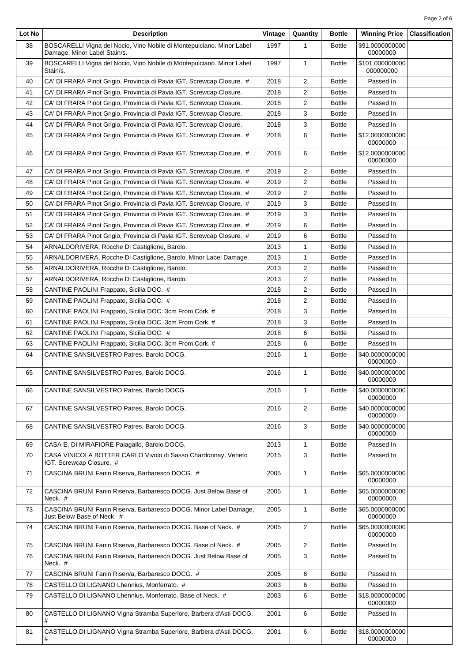| Lot No | <b>Description</b>                                                                                    | Vintage | Quantity       | <b>Bottle</b> | <b>Winning Price</b>         | <b>Classification</b> |
|--------|-------------------------------------------------------------------------------------------------------|---------|----------------|---------------|------------------------------|-----------------------|
| 38     | BOSCARELLI Vigna del Nocio, Vino Nobile di Montepulciano. Minor Label<br>Damage, Minor Label Stain/s. | 1997    | 1              | <b>Bottle</b> | \$91.0000000000<br>00000000  |                       |
| 39     | BOSCARELLI Vigna del Nocio, Vino Nobile di Montepulciano. Minor Label<br>Stain/s.                     | 1997    | $\mathbf{1}$   | <b>Bottle</b> | \$101.000000000<br>000000000 |                       |
| 40     | CA' DI FRARA Pinot Grigio, Provincia di Pavia IGT. Screwcap Closure. #                                | 2018    | $\overline{2}$ | <b>Bottle</b> | Passed In                    |                       |
| 41     | CA' DI FRARA Pinot Grigio, Provincia di Pavia IGT. Screwcap Closure.                                  | 2018    | $\overline{2}$ | <b>Bottle</b> | Passed In                    |                       |
| 42     | CA' DI FRARA Pinot Grigio, Provincia di Pavia IGT. Screwcap Closure.                                  | 2018    | 2              | <b>Bottle</b> | Passed In                    |                       |
| 43     | CA' DI FRARA Pinot Grigio, Provincia di Pavia IGT. Screwcap Closure.                                  | 2018    | 3              | <b>Bottle</b> | Passed In                    |                       |
| 44     | CA' DI FRARA Pinot Grigio, Provincia di Pavia IGT. Screwcap Closure.                                  | 2018    | 3              | <b>Bottle</b> | Passed In                    |                       |
| 45     | CA' DI FRARA Pinot Grigio, Provincia di Pavia IGT. Screwcap Closure. #                                | 2018    | 6              | <b>Bottle</b> | \$12.0000000000<br>00000000  |                       |
| 46     | CA' DI FRARA Pinot Grigio, Provincia di Pavia IGT. Screwcap Closure. #                                | 2018    | 6              | <b>Bottle</b> | \$12.0000000000<br>00000000  |                       |
| 47     | CA' DI FRARA Pinot Grigio, Provincia di Pavia IGT. Screwcap Closure. #                                | 2019    | 2              | <b>Bottle</b> | Passed In                    |                       |
| 48     | CA' DI FRARA Pinot Grigio, Provincia di Pavia IGT. Screwcap Closure. #                                | 2019    | 2              | <b>Bottle</b> | Passed In                    |                       |
| 49     | CA' DI FRARA Pinot Grigio, Provincia di Pavia IGT. Screwcap Closure. #                                | 2019    | 2              | <b>Bottle</b> | Passed In                    |                       |
| 50     | CA' DI FRARA Pinot Grigio, Provincia di Pavia IGT. Screwcap Closure. #                                | 2019    | 3              | <b>Bottle</b> | Passed In                    |                       |
| 51     | CA' DI FRARA Pinot Grigio, Provincia di Pavia IGT. Screwcap Closure. #                                | 2019    | 3              | <b>Bottle</b> | Passed In                    |                       |
| 52     | CA' DI FRARA Pinot Grigio, Provincia di Pavia IGT. Screwcap Closure. #                                | 2019    | 6              | <b>Bottle</b> | Passed In                    |                       |
| 53     | CA' DI FRARA Pinot Grigio, Provincia di Pavia IGT. Screwcap Closure. #                                | 2019    | 6              | <b>Bottle</b> | Passed In                    |                       |
| 54     | ARNALDORIVERA, Rocche Di Castiglione, Barolo.                                                         | 2013    | 1              | <b>Bottle</b> | Passed In                    |                       |
| 55     | ARNALDORIVERA, Rocche Di Castiglione, Barolo. Minor Label Damage.                                     | 2013    | 1              | <b>Bottle</b> | Passed In                    |                       |
| 56     | ARNALDORIVERA, Rocche Di Castiglione, Barolo.                                                         | 2013    | 2              | <b>Bottle</b> | Passed In                    |                       |
| 57     | ARNALDORIVERA, Rocche Di Castiglione, Barolo.                                                         | 2013    | $\overline{2}$ | <b>Bottle</b> | Passed In                    |                       |
| 58     | CANTINE PAOLINI Frappato, Sicilia DOC. #                                                              | 2018    | $\overline{2}$ | <b>Bottle</b> | Passed In                    |                       |
| 59     | CANTINE PAOLINI Frappato, Sicilia DOC. #                                                              | 2018    | 2              | <b>Bottle</b> | Passed In                    |                       |
| 60     | CANTINE PAOLINI Frappato, Sicilia DOC. 3cm From Cork. #                                               | 2018    | 3              | <b>Bottle</b> | Passed In                    |                       |
| 61     | CANTINE PAOLINI Frappato, Sicilia DOC. 3cm From Cork. #                                               | 2018    | 3              | <b>Bottle</b> | Passed In                    |                       |
| 62     | CANTINE PAOLINI Frappato, Sicilia DOC. #                                                              | 2018    | 6              | <b>Bottle</b> | Passed In                    |                       |
| 63     | CANTINE PAOLINI Frappato, Sicilia DOC. 3cm From Cork. #                                               | 2018    | 6              | <b>Bottle</b> | Passed In                    |                       |
| 64     | CANTINE SANSILVESTRO Patres, Barolo DOCG.                                                             | 2016    | $\mathbf{1}$   | <b>Bottle</b> | \$40.0000000000<br>00000000  |                       |
| 65     | CANTINE SANSILVESTRO Patres, Barolo DOCG.                                                             | 2016    | $\mathbf{1}$   | <b>Bottle</b> | \$40.0000000000<br>00000000  |                       |
| 66     | CANTINE SANSILVESTRO Patres, Barolo DOCG.                                                             | 2016    | 1              | <b>Bottle</b> | \$40.0000000000<br>00000000  |                       |
| 67     | CANTINE SANSILVESTRO Patres, Barolo DOCG.                                                             | 2016    | 2              | <b>Bottle</b> | \$40.0000000000<br>00000000  |                       |
| 68     | CANTINE SANSILVESTRO Patres, Barolo DOCG.                                                             | 2016    | 3              | <b>Bottle</b> | \$40.0000000000<br>00000000  |                       |
| 69     | CASA E. DI MIRAFIORE Paiagallo, Barolo DOCG.                                                          | 2013    | $\mathbf{1}$   | <b>Bottle</b> | Passed In                    |                       |
| 70     | CASA VINICOLA BOTTER CARLO Vivolo di Sasso Chardonnay, Veneto<br>IGT. Screwcap Closure. #             | 2015    | 3              | <b>Bottle</b> | Passed In                    |                       |
| 71     | CASCINA BRUNI Fanin Riserva, Barbaresco DOCG. #                                                       | 2005    | $\mathbf{1}$   | <b>Bottle</b> | \$65.0000000000<br>00000000  |                       |
| 72     | CASCINA BRUNI Fanin Riserva, Barbaresco DOCG. Just Below Base of<br>Neck. #                           | 2005    | $\mathbf{1}$   | <b>Bottle</b> | \$65.0000000000<br>00000000  |                       |
| 73     | CASCINA BRUNI Fanin Riserva, Barbaresco DOCG. Minor Label Damage,<br>Just Below Base of Neck. #       | 2005    | $\mathbf{1}$   | <b>Bottle</b> | \$65.0000000000<br>00000000  |                       |
| 74     | CASCINA BRUNI Fanin Riserva, Barbaresco DOCG. Base of Neck. #                                         | 2005    | $\overline{2}$ | <b>Bottle</b> | \$65.0000000000<br>00000000  |                       |
| 75     | CASCINA BRUNI Fanin Riserva, Barbaresco DOCG. Base of Neck. #                                         | 2005    | 2              | <b>Bottle</b> | Passed In                    |                       |
| 76     | CASCINA BRUNI Fanin Riserva, Barbaresco DOCG. Just Below Base of<br>Neck. #                           | 2005    | 3              | <b>Bottle</b> | Passed In                    |                       |
| 77     | CASCINA BRUNI Fanin Riserva, Barbaresco DOCG. #                                                       | 2005    | 6              | <b>Bottle</b> | Passed In                    |                       |
| 78     | CASTELLO DI LIGNANO Lhennius, Monferrato. #                                                           | 2003    | 6              | <b>Bottle</b> | Passed In                    |                       |
| 79     | CASTELLO DI LIGNANO Lhennius, Monferrato. Base of Neck. #                                             | 2003    | 6              | <b>Bottle</b> | \$18.0000000000<br>00000000  |                       |
| 80     | CASTELLO DI LIGNANO Vigna Stramba Superiore, Barbera d'Asti DOCG.<br>#                                | 2001    | 6              | <b>Bottle</b> | Passed In                    |                       |
| 81     | CASTELLO DI LIGNANO Vigna Stramba Superiore, Barbera d'Asti DOCG.<br>#                                | 2001    | 6              | <b>Bottle</b> | \$18.0000000000<br>00000000  |                       |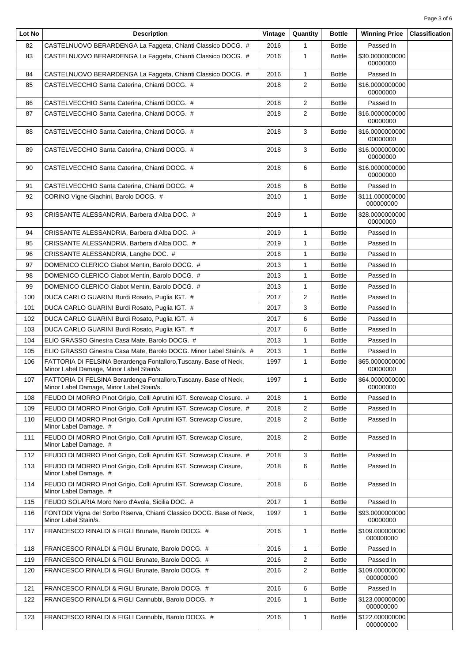| Lot No | <b>Description</b>                                                                                            | Vintage | Quantity       | <b>Bottle</b> | <b>Winning Price</b>         | <b>Classification</b> |
|--------|---------------------------------------------------------------------------------------------------------------|---------|----------------|---------------|------------------------------|-----------------------|
| 82     | CASTELNUOVO BERARDENGA La Faggeta, Chianti Classico DOCG. #                                                   | 2016    | $\mathbf{1}$   | <b>Bottle</b> | Passed In                    |                       |
| 83     | CASTELNUOVO BERARDENGA La Faggeta, Chianti Classico DOCG. #                                                   | 2016    | $\mathbf{1}$   | <b>Bottle</b> | \$30.0000000000<br>00000000  |                       |
| 84     | CASTELNUOVO BERARDENGA La Faggeta, Chianti Classico DOCG. #                                                   | 2016    | $\mathbf{1}$   | <b>Bottle</b> | Passed In                    |                       |
| 85     | CASTELVECCHIO Santa Caterina, Chianti DOCG. #                                                                 | 2018    | $\overline{2}$ | <b>Bottle</b> | \$16,0000000000<br>00000000  |                       |
| 86     | CASTELVECCHIO Santa Caterina, Chianti DOCG. #                                                                 | 2018    | $\overline{2}$ | <b>Bottle</b> | Passed In                    |                       |
| 87     | CASTELVECCHIO Santa Caterina, Chianti DOCG. #                                                                 | 2018    | $\overline{2}$ | <b>Bottle</b> | \$16.0000000000<br>00000000  |                       |
| 88     | CASTELVECCHIO Santa Caterina, Chianti DOCG. #                                                                 | 2018    | 3              | <b>Bottle</b> | \$16.0000000000<br>00000000  |                       |
| 89     | CASTELVECCHIO Santa Caterina, Chianti DOCG. #                                                                 | 2018    | 3              | <b>Bottle</b> | \$16.0000000000<br>00000000  |                       |
| 90     | CASTELVECCHIO Santa Caterina, Chianti DOCG. #                                                                 | 2018    | 6              | <b>Bottle</b> | \$16.0000000000<br>00000000  |                       |
| 91     | CASTELVECCHIO Santa Caterina, Chianti DOCG. #                                                                 | 2018    | 6              | <b>Bottle</b> | Passed In                    |                       |
| 92     | CORINO Vigne Giachini, Barolo DOCG. #                                                                         | 2010    | 1              | <b>Bottle</b> | \$111.000000000<br>000000000 |                       |
| 93     | CRISSANTE ALESSANDRIA, Barbera d'Alba DOC. #                                                                  | 2019    | $\mathbf{1}$   | <b>Bottle</b> | \$28.0000000000<br>00000000  |                       |
| 94     | CRISSANTE ALESSANDRIA, Barbera d'Alba DOC. #                                                                  | 2019    | $\mathbf{1}$   | <b>Bottle</b> | Passed In                    |                       |
| 95     | CRISSANTE ALESSANDRIA, Barbera d'Alba DOC. #                                                                  | 2019    | $\mathbf{1}$   | <b>Bottle</b> | Passed In                    |                       |
| 96     | CRISSANTE ALESSANDRIA, Langhe DOC. #                                                                          | 2018    | $\mathbf{1}$   | Bottle        | Passed In                    |                       |
| 97     | DOMENICO CLERICO Ciabot Mentin, Barolo DOCG. #                                                                | 2013    | $\mathbf{1}$   | <b>Bottle</b> | Passed In                    |                       |
| 98     | DOMENICO CLERICO Ciabot Mentin, Barolo DOCG. #                                                                | 2013    | $\mathbf{1}$   | <b>Bottle</b> | Passed In                    |                       |
| 99     | DOMENICO CLERICO Ciabot Mentin, Barolo DOCG. #                                                                | 2013    | $\mathbf{1}$   | <b>Bottle</b> | Passed In                    |                       |
| 100    | DUCA CARLO GUARINI Burdi Rosato, Puglia IGT. #                                                                | 2017    | 2              | <b>Bottle</b> | Passed In                    |                       |
| 101    | DUCA CARLO GUARINI Burdi Rosato, Puglia IGT. #                                                                | 2017    | 3              | <b>Bottle</b> | Passed In                    |                       |
| 102    | DUCA CARLO GUARINI Burdi Rosato, Puglia IGT. #                                                                | 2017    | 6              | <b>Bottle</b> | Passed In                    |                       |
| 103    | DUCA CARLO GUARINI Burdi Rosato, Puglia IGT. #                                                                | 2017    | 6              | <b>Bottle</b> | Passed In                    |                       |
| 104    | ELIO GRASSO Ginestra Casa Mate. Barolo DOCG. #                                                                | 2013    | 1              | <b>Bottle</b> | Passed In                    |                       |
| 105    | ELIO GRASSO Ginestra Casa Mate, Barolo DOCG. Minor Label Stain/s. #                                           | 2013    | $\mathbf{1}$   | <b>Bottle</b> | Passed In                    |                       |
| 106    | FATTORIA DI FELSINA Berardenga Fontalloro, Tuscany. Base of Neck,<br>Minor Label Damage, Minor Label Stain/s. | 1997    | $\mathbf{1}$   | <b>Bottle</b> | \$65.0000000000<br>00000000  |                       |
| 107    | FATTORIA DI FELSINA Berardenga Fontalloro, Tuscany. Base of Neck,<br>Minor Label Damage, Minor Label Stain/s. | 1997    | $\mathbf{1}$   | <b>Bottle</b> | \$64.0000000000<br>00000000  |                       |
| 108    | FEUDO DI MORRO Pinot Grigio, Colli Aprutini IGT. Screwcap Closure. #                                          | 2018    | $\mathbf{1}$   | <b>Bottle</b> | Passed In                    |                       |
| 109    | FEUDO DI MORRO Pinot Grigio, Colli Aprutini IGT. Screwcap Closure. #                                          | 2018    | 2              | <b>Bottle</b> | Passed In                    |                       |
| 110    | FEUDO DI MORRO Pinot Grigio, Colli Aprutini IGT. Screwcap Closure,<br>Minor Label Damage. #                   | 2018    | 2              | <b>Bottle</b> | Passed In                    |                       |
| 111    | FEUDO DI MORRO Pinot Grigio, Colli Aprutini IGT. Screwcap Closure,<br>Minor Label Damage. #                   | 2018    | $\overline{2}$ | <b>Bottle</b> | Passed In                    |                       |
| 112    | FEUDO DI MORRO Pinot Grigio, Colli Aprutini IGT. Screwcap Closure. #                                          | 2018    | 3              | <b>Bottle</b> | Passed In                    |                       |
| 113    | FEUDO DI MORRO Pinot Grigio, Colli Aprutini IGT. Screwcap Closure,<br>Minor Label Damage. #                   | 2018    | 6              | <b>Bottle</b> | Passed In                    |                       |
| 114    | FEUDO DI MORRO Pinot Grigio, Colli Aprutini IGT. Screwcap Closure,<br>Minor Label Damage. #                   | 2018    | 6              | <b>Bottle</b> | Passed In                    |                       |
| 115    | FEUDO SOLARIA Moro Nero d'Avola, Sicilia DOC. #                                                               | 2017    | $\mathbf{1}$   | <b>Bottle</b> | Passed In                    |                       |
| 116    | FONTODI Vigna del Sorbo Riserva, Chianti Classico DOCG. Base of Neck,<br>Minor Label Stain/s.                 | 1997    | 1              | <b>Bottle</b> | \$93.0000000000<br>00000000  |                       |
| 117    | FRANCESCO RINALDI & FIGLI Brunate, Barolo DOCG. #                                                             | 2016    | $\mathbf{1}$   | <b>Bottle</b> | \$109.000000000<br>000000000 |                       |
| 118    | FRANCESCO RINALDI & FIGLI Brunate, Barolo DOCG. #                                                             | 2016    | $\mathbf{1}$   | <b>Bottle</b> | Passed In                    |                       |
| 119    | FRANCESCO RINALDI & FIGLI Brunate, Barolo DOCG. #                                                             | 2016    | 2              | <b>Bottle</b> | Passed In                    |                       |
| 120    | FRANCESCO RINALDI & FIGLI Brunate, Barolo DOCG. #                                                             | 2016    | $\overline{2}$ | <b>Bottle</b> | \$109.000000000<br>000000000 |                       |
| 121    | FRANCESCO RINALDI & FIGLI Brunate, Barolo DOCG. #                                                             | 2016    | 6              | <b>Bottle</b> | Passed In                    |                       |
| 122    | FRANCESCO RINALDI & FIGLI Cannubbi, Barolo DOCG. #                                                            | 2016    | 1              | <b>Bottle</b> | \$123.000000000<br>000000000 |                       |
| 123    | FRANCESCO RINALDI & FIGLI Cannubbi, Barolo DOCG. #                                                            | 2016    | $\mathbf{1}$   | <b>Bottle</b> | \$122.000000000<br>000000000 |                       |

T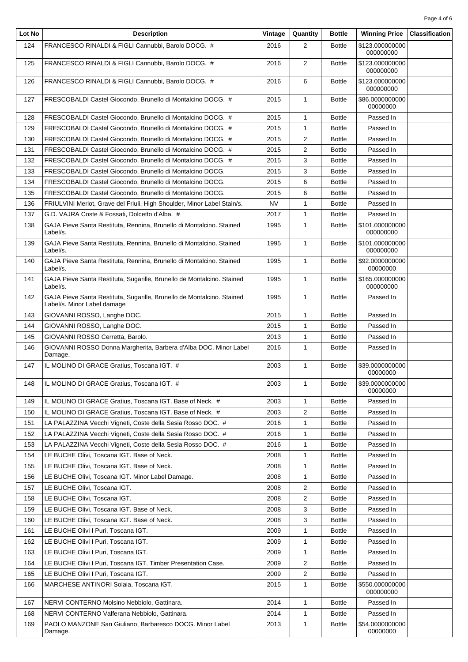| Page 4 of 6 |  |  |
|-------------|--|--|
|             |  |  |

| Lot No     | <b>Description</b>                                                                                    | Vintage      | Quantity       | <b>Bottle</b>                  | <b>Winning Price</b>         | <b>Classification</b> |
|------------|-------------------------------------------------------------------------------------------------------|--------------|----------------|--------------------------------|------------------------------|-----------------------|
| 124        | FRANCESCO RINALDI & FIGLI Cannubbi, Barolo DOCG. #                                                    | 2016         | $\overline{2}$ | <b>Bottle</b>                  | \$123.000000000<br>000000000 |                       |
| 125        | FRANCESCO RINALDI & FIGLI Cannubbi, Barolo DOCG. #                                                    | 2016         | $\overline{2}$ | <b>Bottle</b>                  | \$123.000000000<br>000000000 |                       |
| 126        | FRANCESCO RINALDI & FIGLI Cannubbi, Barolo DOCG. #                                                    | 2016         | 6              | <b>Bottle</b>                  | \$123.000000000<br>000000000 |                       |
| 127        | FRESCOBALDI Castel Giocondo, Brunello di Montalcino DOCG. #                                           | 2015         | 1              | <b>Bottle</b>                  | \$86.0000000000<br>00000000  |                       |
| 128        | FRESCOBALDI Castel Giocondo, Brunello di Montalcino DOCG. #                                           | 2015         | 1              | <b>Bottle</b>                  | Passed In                    |                       |
| 129        | FRESCOBALDI Castel Giocondo, Brunello di Montalcino DOCG. #                                           | 2015         | 1              | <b>Bottle</b>                  | Passed In                    |                       |
| 130        | FRESCOBALDI Castel Giocondo, Brunello di Montalcino DOCG. #                                           | 2015         | 2              | <b>Bottle</b>                  | Passed In                    |                       |
| 131        | FRESCOBALDI Castel Giocondo, Brunello di Montalcino DOCG. #                                           | 2015         | 2              | <b>Bottle</b>                  | Passed In                    |                       |
| 132        | FRESCOBALDI Castel Giocondo, Brunello di Montalcino DOCG. #                                           | 2015         | 3              | <b>Bottle</b>                  | Passed In                    |                       |
| 133        | FRESCOBALDI Castel Giocondo, Brunello di Montalcino DOCG.                                             | 2015         | 3              | <b>Bottle</b>                  | Passed In                    |                       |
| 134        | FRESCOBALDI Castel Giocondo, Brunello di Montalcino DOCG.                                             | 2015         | 6              | <b>Bottle</b>                  | Passed In                    |                       |
| 135        | FRESCOBALDI Castel Giocondo, Brunello di Montalcino DOCG.                                             | 2015         | 6              | <b>Bottle</b>                  | Passed In                    |                       |
| 136        | FRIULVINI Merlot, Grave del Friuli. High Shoulder, Minor Label Stain/s.                               | NV           | 1              | <b>Bottle</b>                  | Passed In                    |                       |
| 137        | G.D. VAJRA Coste & Fossati, Dolcetto d'Alba. #                                                        | 2017         | 1              | <b>Bottle</b>                  | Passed In                    |                       |
| 138        | GAJA Pieve Santa Restituta, Rennina, Brunello di Montalcino. Stained<br>Label/s.                      | 1995         | $\mathbf{1}$   | <b>Bottle</b>                  | \$101.000000000<br>000000000 |                       |
| 139        | GAJA Pieve Santa Restituta, Rennina, Brunello di Montalcino. Stained<br>Label/s.                      | 1995         | 1              | <b>Bottle</b>                  | \$101.000000000<br>000000000 |                       |
| 140        | GAJA Pieve Santa Restituta, Rennina, Brunello di Montalcino. Stained<br>Label/s.                      | 1995         | 1              | <b>Bottle</b>                  | \$92.0000000000<br>00000000  |                       |
| 141        | GAJA Pieve Santa Restituta, Sugarille, Brunello de Montalcino. Stained<br>Label/s.                    | 1995         | 1              | <b>Bottle</b>                  | \$165.000000000<br>000000000 |                       |
| 142        | GAJA Pieve Santa Restituta, Sugarille, Brunello de Montalcino. Stained<br>Label/s. Minor Label damage | 1995         | $\mathbf{1}$   | <b>Bottle</b>                  | Passed In                    |                       |
| 143        | GIOVANNI ROSSO, Langhe DOC.                                                                           | 2015         | 1              | <b>Bottle</b>                  | Passed In                    |                       |
| 144        | GIOVANNI ROSSO, Langhe DOC.                                                                           | 2015         | 1              | <b>Bottle</b>                  | Passed In                    |                       |
| 145        | GIOVANNI ROSSO Cerretta, Barolo.                                                                      | 2013         | 1              | <b>Bottle</b>                  | Passed In                    |                       |
| 146        | GIOVANNI ROSSO Donna Margherita, Barbera d'Alba DOC. Minor Label<br>Damage.                           | 2016         | 1              | <b>Bottle</b>                  | Passed In                    |                       |
| 147        | IL MOLINO DI GRACE Gratius. Toscana IGT. #                                                            | 2003         | 1              | <b>Bottle</b>                  | \$39.0000000000<br>00000000  |                       |
| 148        | IL MOLINO DI GRACE Gratius, Toscana IGT. #                                                            | 2003         | 1              | <b>Bottle</b>                  | \$39.0000000000<br>00000000  |                       |
| 149        | IL MOLINO DI GRACE Gratius, Toscana IGT. Base of Neck. #                                              | 2003         | 1              | <b>Bottle</b>                  | Passed In                    |                       |
| 150        | IL MOLINO DI GRACE Gratius, Toscana IGT. Base of Neck. #                                              | 2003         | 2              | <b>Bottle</b>                  | Passed In                    |                       |
| 151        | LA PALAZZINA Vecchi Vigneti, Coste della Sesia Rosso DOC. #                                           | 2016         | 1              | <b>Bottle</b>                  | Passed In                    |                       |
| 152        | LA PALAZZINA Vecchi Vigneti, Coste della Sesia Rosso DOC. #                                           | 2016         | 1              | <b>Bottle</b>                  | Passed In                    |                       |
| 153        | LA PALAZZINA Vecchi Vigneti, Coste della Sesia Rosso DOC. #                                           | 2016         | 1              | <b>Bottle</b>                  | Passed In                    |                       |
| 154        | LE BUCHE Olivi, Toscana IGT. Base of Neck.                                                            | 2008         | 1              | <b>Bottle</b>                  | Passed In                    |                       |
| 155        | LE BUCHE Olivi, Toscana IGT. Base of Neck.                                                            | 2008         | 1              | <b>Bottle</b>                  | Passed In                    |                       |
| 156        | LE BUCHE Olivi, Toscana IGT. Minor Label Damage.                                                      | 2008         | 1              | <b>Bottle</b>                  | Passed In                    |                       |
| 157        | LE BUCHE Olivi, Toscana IGT.                                                                          | 2008         | 2              | <b>Bottle</b>                  | Passed In                    |                       |
| 158        | LE BUCHE Olivi, Toscana IGT.                                                                          | 2008         | 2              | <b>Bottle</b>                  | Passed In                    |                       |
| 159        | LE BUCHE Olivi, Toscana IGT. Base of Neck.                                                            | 2008         | 3              | <b>Bottle</b>                  | Passed In                    |                       |
| 160        | LE BUCHE Olivi, Toscana IGT. Base of Neck.                                                            | 2008         | 3              | <b>Bottle</b>                  | Passed In                    |                       |
| 161        | LE BUCHE Olivi I Puri, Toscana IGT.                                                                   | 2009         | 1              | <b>Bottle</b>                  | Passed In                    |                       |
| 162<br>163 | LE BUCHE Olivi I Puri, Toscana IGT.<br>LE BUCHE Olivi I Puri, Toscana IGT.                            | 2009         | 1              | <b>Bottle</b>                  | Passed In<br>Passed In       |                       |
| 164        | LE BUCHE Olivi I Puri, Toscana IGT. Timber Presentation Case.                                         | 2009<br>2009 | 1<br>2         | <b>Bottle</b><br><b>Bottle</b> | Passed In                    |                       |
| 165        | LE BUCHE Olivi I Puri, Toscana IGT.                                                                   | 2009         | 2              | <b>Bottle</b>                  | Passed In                    |                       |
| 166        | MARCHESE ANTINORI Solaia, Toscana IGT.                                                                | 2015         | 1              | <b>Bottle</b>                  | \$550.000000000              |                       |
|            |                                                                                                       |              |                |                                | 000000000                    |                       |
| 167        | NERVI CONTERNO Molsino Nebbiolo, Gattinara.                                                           | 2014         | 1              | <b>Bottle</b>                  | Passed In                    |                       |
| 168        | NERVI CONTERNO Valferana Nebbiolo, Gattinara.                                                         | 2014         | 1              | <b>Bottle</b>                  | Passed In                    |                       |
| 169        | PAOLO MANZONE San Giuliano, Barbaresco DOCG. Minor Label<br>Damage.                                   | 2013         | 1              | <b>Bottle</b>                  | \$54.0000000000<br>00000000  |                       |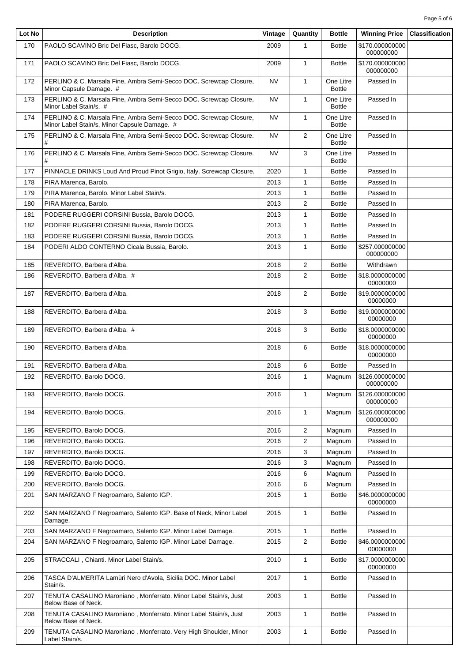| Lot No | <b>Description</b>                                                                                                 | Vintage   | Quantity       | <b>Bottle</b>              | <b>Winning Price</b>         | <b>Classification</b> |
|--------|--------------------------------------------------------------------------------------------------------------------|-----------|----------------|----------------------------|------------------------------|-----------------------|
| 170    | PAOLO SCAVINO Bric Del Fiasc, Barolo DOCG.                                                                         | 2009      | 1              | <b>Bottle</b>              | \$170.000000000<br>000000000 |                       |
| 171    | PAOLO SCAVINO Bric Del Fiasc, Barolo DOCG.                                                                         | 2009      | $\mathbf{1}$   | <b>Bottle</b>              | \$170.000000000<br>000000000 |                       |
| 172    | PERLINO & C. Marsala Fine, Ambra Semi-Secco DOC. Screwcap Closure,<br>Minor Capsule Damage. #                      | NV        | $\mathbf{1}$   | One Litre<br><b>Bottle</b> | Passed In                    |                       |
| 173    | PERLINO & C. Marsala Fine, Ambra Semi-Secco DOC. Screwcap Closure,<br>Minor Label Stain/s. #                       | NV        | $\mathbf{1}$   | One Litre<br><b>Bottle</b> | Passed In                    |                       |
| 174    | PERLINO & C. Marsala Fine, Ambra Semi-Secco DOC. Screwcap Closure,<br>Minor Label Stain/s, Minor Capsule Damage. # | NV        | 1              | One Litre<br><b>Bottle</b> | Passed In                    |                       |
| 175    | PERLINO & C. Marsala Fine, Ambra Semi-Secco DOC. Screwcap Closure.<br>#                                            | NV        | $\overline{2}$ | One Litre<br><b>Bottle</b> | Passed In                    |                       |
| 176    | PERLINO & C. Marsala Fine, Ambra Semi-Secco DOC. Screwcap Closure.<br>#                                            | <b>NV</b> | 3              | One Litre<br><b>Bottle</b> | Passed In                    |                       |
| 177    | PINNACLE DRINKS Loud And Proud Pinot Grigio, Italy. Screwcap Closure.                                              | 2020      | $\mathbf{1}$   | <b>Bottle</b>              | Passed In                    |                       |
| 178    | PIRA Marenca, Barolo.                                                                                              | 2013      | 1              | <b>Bottle</b>              | Passed In                    |                       |
| 179    | PIRA Marenca. Barolo. Minor Label Stain/s.                                                                         | 2013      | 1              | <b>Bottle</b>              | Passed In                    |                       |
| 180    | PIRA Marenca, Barolo.                                                                                              | 2013      | $\overline{2}$ | <b>Bottle</b>              | Passed In                    |                       |
| 181    | PODERE RUGGERI CORSINI Bussia, Barolo DOCG.                                                                        | 2013      | $\mathbf{1}$   | <b>Bottle</b>              | Passed In                    |                       |
| 182    | PODERE RUGGERI CORSINI Bussia. Barolo DOCG.                                                                        | 2013      | 1              | <b>Bottle</b>              | Passed In                    |                       |
| 183    | PODERE RUGGERI CORSINI Bussia, Barolo DOCG.                                                                        | 2013      | 1              | <b>Bottle</b>              | Passed In                    |                       |
| 184    | PODERI ALDO CONTERNO Cicala Bussia, Barolo.                                                                        | 2013      | $\mathbf{1}$   | <b>Bottle</b>              | \$257.000000000<br>000000000 |                       |
| 185    | REVERDITO, Barbera d'Alba.                                                                                         | 2018      | $\overline{2}$ | <b>Bottle</b>              | Withdrawn                    |                       |
| 186    | REVERDITO, Barbera d'Alba. #                                                                                       | 2018      | $\overline{2}$ | <b>Bottle</b>              | \$18.0000000000<br>00000000  |                       |
| 187    | REVERDITO, Barbera d'Alba.                                                                                         | 2018      | $\overline{2}$ | <b>Bottle</b>              | \$19.0000000000<br>00000000  |                       |
| 188    | REVERDITO, Barbera d'Alba.                                                                                         | 2018      | 3              | <b>Bottle</b>              | \$19.0000000000<br>00000000  |                       |
| 189    | REVERDITO, Barbera d'Alba. #                                                                                       | 2018      | 3              | <b>Bottle</b>              | \$18.0000000000<br>00000000  |                       |
| 190    | REVERDITO, Barbera d'Alba.                                                                                         | 2018      | 6              | <b>Bottle</b>              | \$18.0000000000<br>00000000  |                       |
| 191    | REVERDITO, Barbera d'Alba.                                                                                         | 2018      | 6              | <b>Bottle</b>              | Passed In                    |                       |
| 192    | REVERDITO, Barolo DOCG.                                                                                            | 2016      | $\mathbf{1}$   | Magnum                     | \$126.000000000<br>000000000 |                       |
| 193    | REVERDITO, Barolo DOCG.                                                                                            | 2016      | $\mathbf{1}$   | Magnum                     | \$126.000000000<br>000000000 |                       |
| 194    | REVERDITO, Barolo DOCG.                                                                                            | 2016      | $\mathbf{1}$   | Magnum                     | \$126.000000000<br>000000000 |                       |
| 195    | REVERDITO, Barolo DOCG.                                                                                            | 2016      | $\overline{2}$ | Magnum                     | Passed In                    |                       |
| 196    | REVERDITO, Barolo DOCG.                                                                                            | 2016      | 2              | Magnum                     | Passed In                    |                       |
| 197    | REVERDITO, Barolo DOCG.                                                                                            | 2016      | 3              | Magnum                     | Passed In                    |                       |
| 198    | REVERDITO, Barolo DOCG.                                                                                            | 2016      | 3              | Magnum                     | Passed In                    |                       |
| 199    | REVERDITO, Barolo DOCG.                                                                                            | 2016      | 6              | Magnum                     | Passed In                    |                       |
| 200    | REVERDITO, Barolo DOCG.                                                                                            | 2016      | 6              | Magnum                     | Passed In                    |                       |
| 201    | SAN MARZANO F Negroamaro, Salento IGP.                                                                             | 2015      | 1              | <b>Bottle</b>              | \$46.0000000000<br>00000000  |                       |
| 202    | SAN MARZANO F Negroamaro, Salento IGP. Base of Neck, Minor Label<br>Damage.                                        | 2015      | 1              | <b>Bottle</b>              | Passed In                    |                       |
| 203    | SAN MARZANO F Negroamaro, Salento IGP. Minor Label Damage.                                                         | 2015      | $\mathbf{1}$   | <b>Bottle</b>              | Passed In                    |                       |
| 204    | SAN MARZANO F Negroamaro, Salento IGP. Minor Label Damage.                                                         | 2015      | 2              | <b>Bottle</b>              | \$46.0000000000<br>00000000  |                       |
| 205    | STRACCALI, Chianti. Minor Label Stain/s.                                                                           | 2010      | $\mathbf{1}$   | <b>Bottle</b>              | \$17.0000000000<br>00000000  |                       |
| 206    | TASCA D'ALMERITA Lamùri Nero d'Avola, Sicilia DOC. Minor Label<br>Stain/s.                                         | 2017      | $\mathbf{1}$   | <b>Bottle</b>              | Passed In                    |                       |
| 207    | TENUTA CASALINO Maroniano, Monferrato. Minor Label Stain/s, Just<br>Below Base of Neck.                            | 2003      | $\mathbf{1}$   | <b>Bottle</b>              | Passed In                    |                       |
| 208    | TENUTA CASALINO Maroniano, Monferrato. Minor Label Stain/s, Just<br>Below Base of Neck.                            | 2003      | 1              | <b>Bottle</b>              | Passed In                    |                       |
| 209    | TENUTA CASALINO Maroniano, Monferrato. Very High Shoulder, Minor<br>Label Stain/s.                                 | 2003      | 1              | <b>Bottle</b>              | Passed In                    |                       |